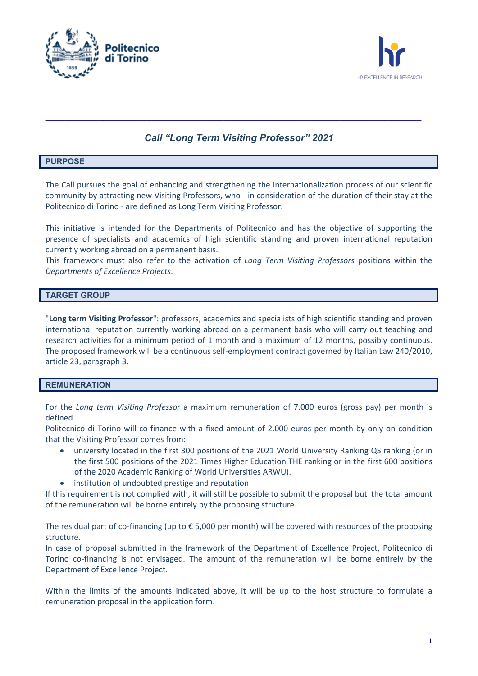



# *Call "Long Term Visiting Professor" 2021*

\_\_\_\_\_\_\_\_\_\_\_\_\_\_\_\_\_\_\_\_\_\_\_\_\_\_\_\_\_\_\_\_\_\_\_\_\_\_\_\_\_\_\_\_\_\_\_\_\_\_\_\_\_\_\_\_\_\_\_\_\_\_\_\_\_\_\_\_\_\_\_\_\_\_\_\_\_\_

### **PURPOSE**

The Call pursues the goal of enhancing and strengthening the internationalization process of our scientific community by attracting new Visiting Professors, who - in consideration of the duration of their stay at the Politecnico di Torino - are defined as Long Term Visiting Professor.

This initiative is intended for the Departments of Politecnico and has the objective of supporting the presence of specialists and academics of high scientific standing and proven international reputation currently working abroad on a permanent basis.

This framework must also refer to the activation of *Long Term Visiting Professors* positions within the *Departments of Excellence Projects*.

### **TARGET GROUP**

"**Long term Visiting Professor**": professors, academics and specialists of high scientific standing and proven international reputation currently working abroad on a permanent basis who will carry out teaching and research activities for a minimum period of 1 month and a maximum of 12 months, possibly continuous. The proposed framework will be a continuous self-employment contract governed by Italian Law 240/2010, article 23, paragraph 3.

### **REMUNERATION**

For the *Long term Visiting Professor* a maximum remuneration of 7.000 euros (gross pay) per month is defined.

Politecnico di Torino will co-finance with a fixed amount of 2.000 euros per month by only on condition that the Visiting Professor comes from:

- university located in the first 300 positions of the 2021 World University Ranking QS ranking (or in the first 500 positions of the 2021 Times Higher Education THE ranking or in the first 600 positions of the 2020 Academic Ranking of World Universities ARWU).
- institution of undoubted prestige and reputation.

If this requirement is not complied with, it will still be possible to submit the proposal but the total amount of the remuneration will be borne entirely by the proposing structure.

The residual part of co-financing (up to  $\epsilon$  5,000 per month) will be covered with resources of the proposing structure.

In case of proposal submitted in the framework of the Department of Excellence Project, Politecnico di Torino co-financing is not envisaged. The amount of the remuneration will be borne entirely by the Department of Excellence Project.

Within the limits of the amounts indicated above, it will be up to the host structure to formulate a remuneration proposal in the application form.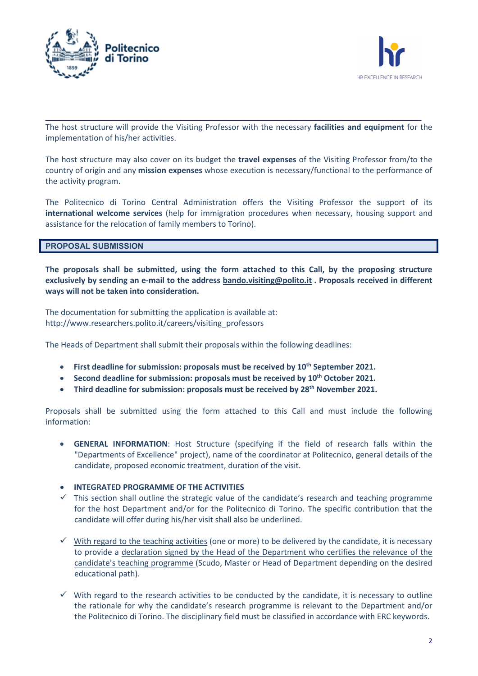



\_\_\_\_\_\_\_\_\_\_\_\_\_\_\_\_\_\_\_\_\_\_\_\_\_\_\_\_\_\_\_\_\_\_\_\_\_\_\_\_\_\_\_\_\_\_\_\_\_\_\_\_\_\_\_\_\_\_\_\_\_\_\_\_\_\_\_\_\_\_\_\_\_\_\_\_\_\_ The host structure will provide the Visiting Professor with the necessary **facilities and equipment** for the implementation of his/her activities.

The host structure may also cover on its budget the **travel expenses** of the Visiting Professor from/to the country of origin and any **mission expenses** whose execution is necessary/functional to the performance of the activity program.

The Politecnico di Torino Central Administration offers the Visiting Professor the support of its **international welcome services** (help for immigration procedures when necessary, housing support and assistance for the relocation of family members to Torino).

### **PROPOSAL SUBMISSION**

**The proposals shall be submitted, using the form attached to this Call, by the proposing structure exclusively by sending an e-mail to the address bando.visiting@polito.it . Proposals received in different ways will not be taken into consideration.**

The documentation for submitting the application is available at: [http://www.researchers.polito.it/careers/visiting\\_professors](http://www.researchers.polito.it/careers/visiting_professors)

The Heads of Department shall submit their proposals within the following deadlines:

- **First deadline for submission: proposals must be received by 10th September 2021.**
- **Second deadline for submission: proposals must be received by 10th October 2021.**
- **Third deadline for submission: proposals must be received by 28th November 2021.**

Proposals shall be submitted using the form attached to this Call and must include the following information:

• **GENERAL INFORMATION**: Host Structure (specifying if the field of research falls within the "Departments of Excellence" project), name of the coordinator at Politecnico, general details of the candidate, proposed economic treatment, duration of the visit.

#### • **INTEGRATED PROGRAMME OF THE ACTIVITIES**

- $\checkmark$  This section shall outline the strategic value of the candidate's research and teaching programme for the host Department and/or for the Politecnico di Torino. The specific contribution that the candidate will offer during his/her visit shall also be underlined.
- $\checkmark$  With regard to the teaching activities (one or more) to be delivered by the candidate, it is necessary to provide a declaration signed by the Head of the Department who certifies the relevance of the candidate's teaching programme (Scudo, Master or Head of Department depending on the desired educational path).
- $\checkmark$  With regard to the research activities to be conducted by the candidate, it is necessary to outline the rationale for why the candidate's research programme is relevant to the Department and/or the Politecnico di Torino. The disciplinary field must be classified in accordance with ERC keywords.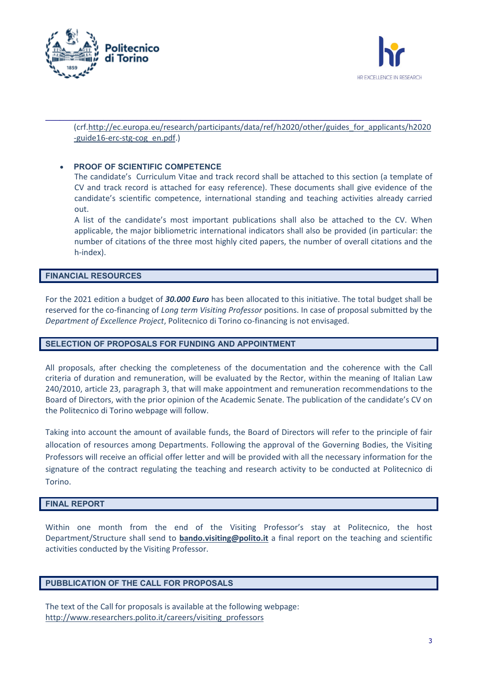



\_\_\_\_\_\_\_\_\_\_\_\_\_\_\_\_\_\_\_\_\_\_\_\_\_\_\_\_\_\_\_\_\_\_\_\_\_\_\_\_\_\_\_\_\_\_\_\_\_\_\_\_\_\_\_\_\_\_\_\_\_\_\_\_\_\_\_\_\_\_\_\_\_\_\_\_\_\_ (crf[.http://ec.europa.eu/research/participants/data/ref/h2020/other/guides\\_for\\_applicants/h2020](http://ec.europa.eu/research/participants/data/ref/h2020/other/guides_for_applicants/h2020-guide16-erc-stg-cog_en.pdf) [-guide16-erc-stg-cog\\_en.pdf.](http://ec.europa.eu/research/participants/data/ref/h2020/other/guides_for_applicants/h2020-guide16-erc-stg-cog_en.pdf))

### **PROOF OF SCIENTIFIC COMPETENCE**

The candidate's Curriculum Vitae and track record shall be attached to this section (a template of CV and track record is attached for easy reference). These documents shall give evidence of the candidate's scientific competence, international standing and teaching activities already carried out.

A list of the candidate's most important publications shall also be attached to the CV. When applicable, the major bibliometric international indicators shall also be provided (in particular: the number of citations of the three most highly cited papers, the number of overall citations and the h-index).

### **FINANCIAL RESOURCES**

For the 2021 edition a budget of *30.000 Euro* has been allocated to this initiative. The total budget shall be reserved for the co-financing of *Long term Visiting Professor* positions. In case of proposal submitted by the *Department of Excellence Project*, Politecnico di Torino co-financing is not envisaged.

#### **SELECTION OF PROPOSALS FOR FUNDING AND APPOINTMENT**

All proposals, after checking the completeness of the documentation and the coherence with the Call criteria of duration and remuneration, will be evaluated by the Rector, within the meaning of Italian Law 240/2010, article 23, paragraph 3, that will make appointment and remuneration recommendations to the Board of Directors, with the prior opinion of the Academic Senate. The publication of the candidate's CV on the Politecnico di Torino webpage will follow.

Taking into account the amount of available funds, the Board of Directors will refer to the principle of fair allocation of resources among Departments. Following the approval of the Governing Bodies, the Visiting Professors will receive an official offer letter and will be provided with all the necessary information for the signature of the contract regulating the teaching and research activity to be conducted at Politecnico di Torino.

### **FINAL REPORT**

Within one month from the end of the Visiting Professor's stay at Politecnico, the host Department/Structure shall send to **bando.visiting@polito.it** a final report on the teaching and scientific activities conducted by the Visiting Professor.

### **PUBBLICATION OF THE CALL FOR PROPOSALS**

The text of the Call for proposals is available at the following webpage: [http://www.researchers.polito.it/careers/visiting\\_professors](http://www.researchers.polito.it/careers/visiting_professors)